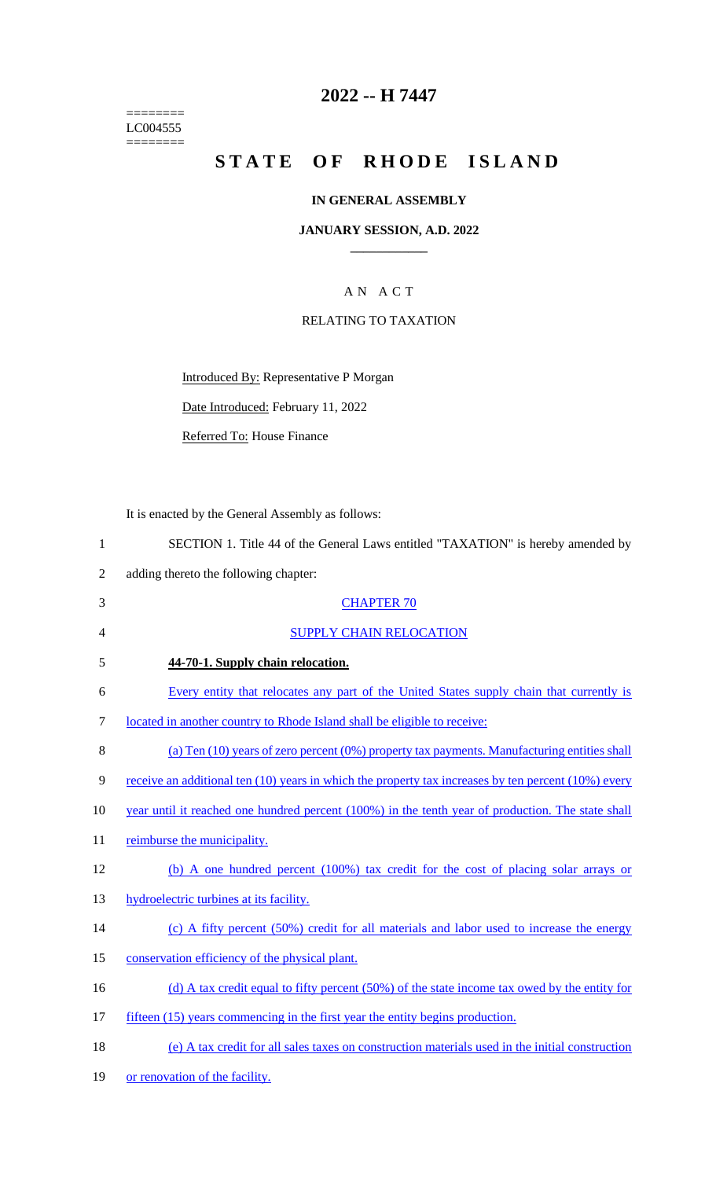$=$ LC004555  $=$ 

# **2022 -- H 7447**

# STATE OF RHODE ISLAND

#### **IN GENERAL ASSEMBLY**

#### **JANUARY SESSION, A.D. 2022 \_\_\_\_\_\_\_\_\_\_\_\_**

## A N A C T

#### RELATING TO TAXATION

Introduced By: Representative P Morgan

Date Introduced: February 11, 2022

Referred To: House Finance

|                | It is enacted by the General Assembly as follows:                                                        |
|----------------|----------------------------------------------------------------------------------------------------------|
| $\mathbf{1}$   | SECTION 1. Title 44 of the General Laws entitled "TAXATION" is hereby amended by                         |
| $\overline{2}$ | adding thereto the following chapter:                                                                    |
| 3              | <b>CHAPTER 70</b>                                                                                        |
| 4              | <b>SUPPLY CHAIN RELOCATION</b>                                                                           |
| 5              | 44-70-1. Supply chain relocation.                                                                        |
| 6              | Every entity that relocates any part of the United States supply chain that currently is                 |
| 7              | located in another country to Rhode Island shall be eligible to receive:                                 |
| 8              | (a) Ten (10) years of zero percent (0%) property tax payments. Manufacturing entities shall              |
| 9              | receive an additional ten $(10)$ years in which the property tax increases by ten percent $(10\%)$ every |
| 10             | year until it reached one hundred percent (100%) in the tenth year of production. The state shall        |
| 11             | reimburse the municipality.                                                                              |
| 12             | (b) A one hundred percent $(100\%)$ tax credit for the cost of placing solar arrays or                   |
| 13             | hydroelectric turbines at its facility.                                                                  |
| 14             | (c) A fifty percent (50%) credit for all materials and labor used to increase the energy                 |
| 15             | conservation efficiency of the physical plant.                                                           |
| 16             | (d) A tax credit equal to fifty percent (50%) of the state income tax owed by the entity for             |
| 17             | fifteen (15) years commencing in the first year the entity begins production.                            |
| 18             | (e) A tax credit for all sales taxes on construction materials used in the initial construction          |
| 19             | or renovation of the facility.                                                                           |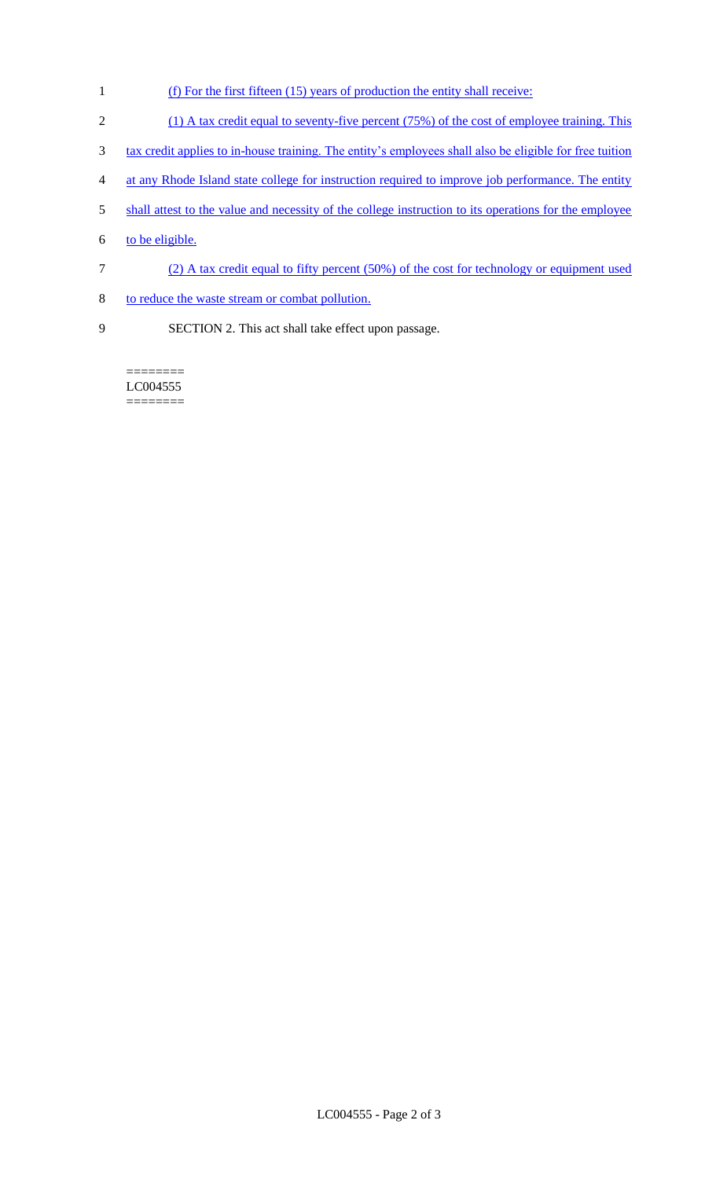- 1 (f) For the first fifteen (15) years of production the entity shall receive:
- 2 (1) A tax credit equal to seventy-five percent (75%) of the cost of employee training. This
- 3 tax credit applies to in-house training. The entity's employees shall also be eligible for free tuition
- 4 at any Rhode Island state college for instruction required to improve job performance. The entity
- 5 shall attest to the value and necessity of the college instruction to its operations for the employee
- 6 to be eligible.
- 7 (2) A tax credit equal to fifty percent (50%) of the cost for technology or equipment used
- 8 to reduce the waste stream or combat pollution.
- 9 SECTION 2. This act shall take effect upon passage.

======== LC004555 ========